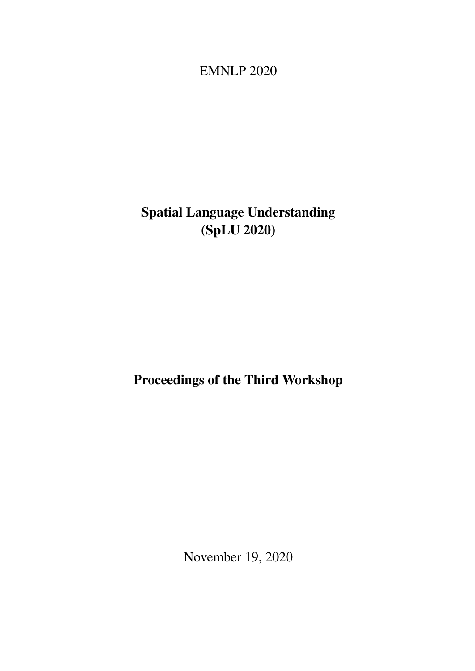<span id="page-0-0"></span>EMNLP 2020

# Spatial Language Understanding (SpLU 2020)

# Proceedings of the Third Workshop

November 19, 2020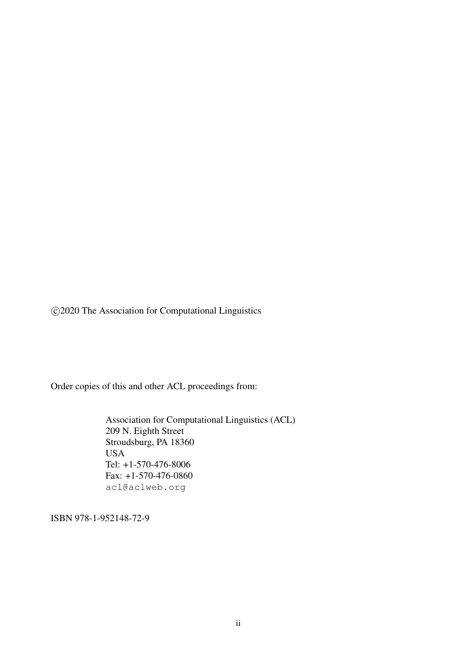c 2020 The Association for Computational Linguistics

Order copies of this and other ACL proceedings from:

Association for Computational Linguistics (ACL) 209 N. Eighth Street Stroudsburg, PA 18360 USA Tel: +1-570-476-8006 Fax: +1-570-476-0860 acl@aclweb.org

ISBN 978-1-952148-72-9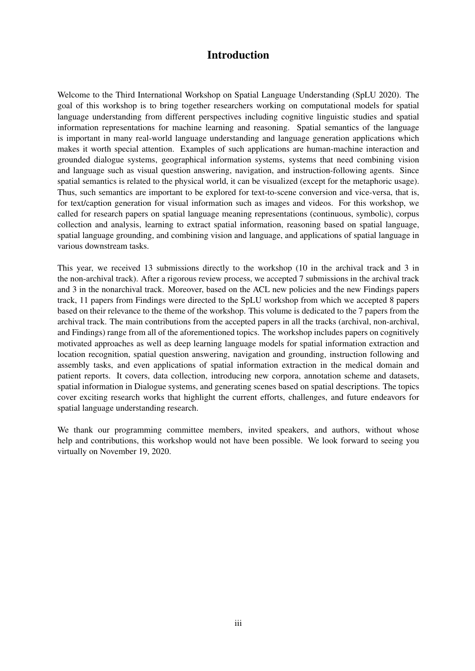### Introduction

Welcome to the Third International Workshop on Spatial Language Understanding (SpLU 2020). The goal of this workshop is to bring together researchers working on computational models for spatial language understanding from different perspectives including cognitive linguistic studies and spatial information representations for machine learning and reasoning. Spatial semantics of the language is important in many real-world language understanding and language generation applications which makes it worth special attention. Examples of such applications are human-machine interaction and grounded dialogue systems, geographical information systems, systems that need combining vision and language such as visual question answering, navigation, and instruction-following agents. Since spatial semantics is related to the physical world, it can be visualized (except for the metaphoric usage). Thus, such semantics are important to be explored for text-to-scene conversion and vice-versa, that is, for text/caption generation for visual information such as images and videos. For this workshop, we called for research papers on spatial language meaning representations (continuous, symbolic), corpus collection and analysis, learning to extract spatial information, reasoning based on spatial language, spatial language grounding, and combining vision and language, and applications of spatial language in various downstream tasks.

This year, we received 13 submissions directly to the workshop (10 in the archival track and 3 in the non-archival track). After a rigorous review process, we accepted 7 submissions in the archival track and 3 in the nonarchival track. Moreover, based on the ACL new policies and the new Findings papers track, 11 papers from Findings were directed to the SpLU workshop from which we accepted 8 papers based on their relevance to the theme of the workshop. This volume is dedicated to the 7 papers from the archival track. The main contributions from the accepted papers in all the tracks (archival, non-archival, and Findings) range from all of the aforementioned topics. The workshop includes papers on cognitively motivated approaches as well as deep learning language models for spatial information extraction and location recognition, spatial question answering, navigation and grounding, instruction following and assembly tasks, and even applications of spatial information extraction in the medical domain and patient reports. It covers, data collection, introducing new corpora, annotation scheme and datasets, spatial information in Dialogue systems, and generating scenes based on spatial descriptions. The topics cover exciting research works that highlight the current efforts, challenges, and future endeavors for spatial language understanding research.

We thank our programming committee members, invited speakers, and authors, without whose help and contributions, this workshop would not have been possible. We look forward to seeing you virtually on November 19, 2020.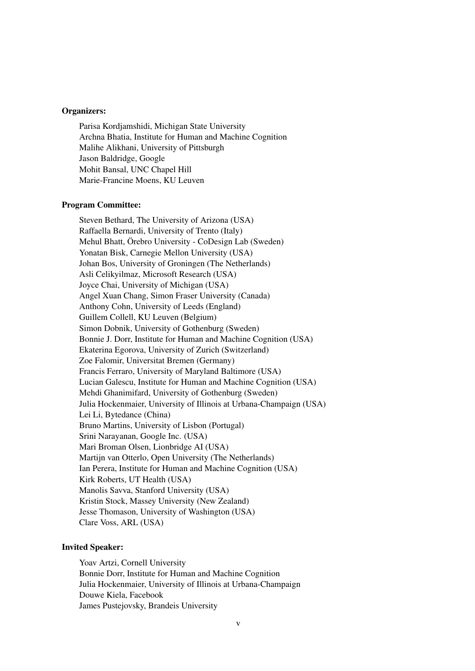#### Organizers:

Parisa Kordjamshidi, Michigan State University Archna Bhatia, Institute for Human and Machine Cognition Malihe Alikhani, University of Pittsburgh Jason Baldridge, Google Mohit Bansal, UNC Chapel Hill Marie-Francine Moens, KU Leuven

#### Program Committee:

Steven Bethard, The University of Arizona (USA) Raffaella Bernardi, University of Trento (Italy) Mehul Bhatt, Örebro University - CoDesign Lab (Sweden) Yonatan Bisk, Carnegie Mellon University (USA) Johan Bos, University of Groningen (The Netherlands) Asli Celikyilmaz, Microsoft Research (USA) Joyce Chai, University of Michigan (USA) Angel Xuan Chang, Simon Fraser University (Canada) Anthony Cohn, University of Leeds (England) Guillem Collell, KU Leuven (Belgium) Simon Dobnik, University of Gothenburg (Sweden) Bonnie J. Dorr, Institute for Human and Machine Cognition (USA) Ekaterina Egorova, University of Zurich (Switzerland) Zoe Falomir, Universitat Bremen (Germany) Francis Ferraro, University of Maryland Baltimore (USA) Lucian Galescu, Institute for Human and Machine Cognition (USA) Mehdi Ghanimifard, University of Gothenburg (Sweden) Julia Hockenmaier, University of Illinois at Urbana-Champaign (USA) Lei Li, Bytedance (China) Bruno Martins, University of Lisbon (Portugal) Srini Narayanan, Google Inc. (USA) Mari Broman Olsen, Lionbridge AI (USA) Martijn van Otterlo, Open University (The Netherlands) Ian Perera, Institute for Human and Machine Cognition (USA) Kirk Roberts, UT Health (USA) Manolis Savva, Stanford University (USA) Kristin Stock, Massey University (New Zealand) Jesse Thomason, University of Washington (USA) Clare Voss, ARL (USA)

#### Invited Speaker:

Yoav Artzi, Cornell University Bonnie Dorr, Institute for Human and Machine Cognition Julia Hockenmaier, University of Illinois at Urbana-Champaign Douwe Kiela, Facebook James Pustejovsky, Brandeis University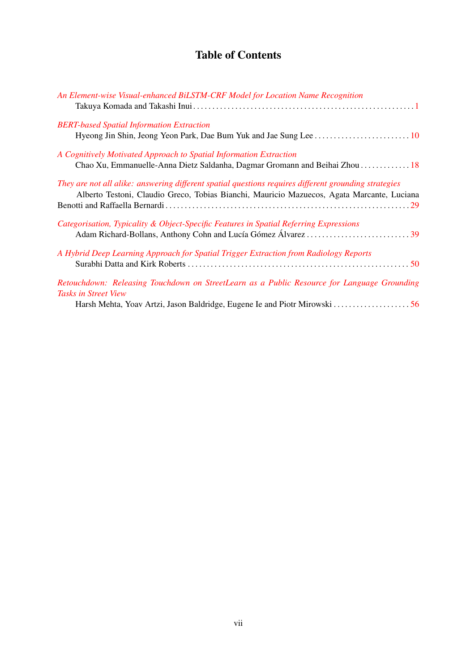## Table of Contents

| An Element-wise Visual-enhanced BiLSTM-CRF Model for Location Name Recognition                                                                                                                      |
|-----------------------------------------------------------------------------------------------------------------------------------------------------------------------------------------------------|
| <b>BERT-based Spatial Information Extraction</b>                                                                                                                                                    |
| A Cognitively Motivated Approach to Spatial Information Extraction<br>Chao Xu, Emmanuelle-Anna Dietz Saldanha, Dagmar Gromann and Beihai Zhou  18                                                   |
| They are not all alike: answering different spatial questions requires different grounding strategies<br>Alberto Testoni, Claudio Greco, Tobias Bianchi, Mauricio Mazuecos, Agata Marcante, Luciana |
| Categorisation, Typicality & Object-Specific Features in Spatial Referring Expressions                                                                                                              |
| A Hybrid Deep Learning Approach for Spatial Trigger Extraction from Radiology Reports                                                                                                               |
| Retouchdown: Releasing Touchdown on StreetLearn as a Public Resource for Language Grounding<br><i>Tasks in Street View</i>                                                                          |
|                                                                                                                                                                                                     |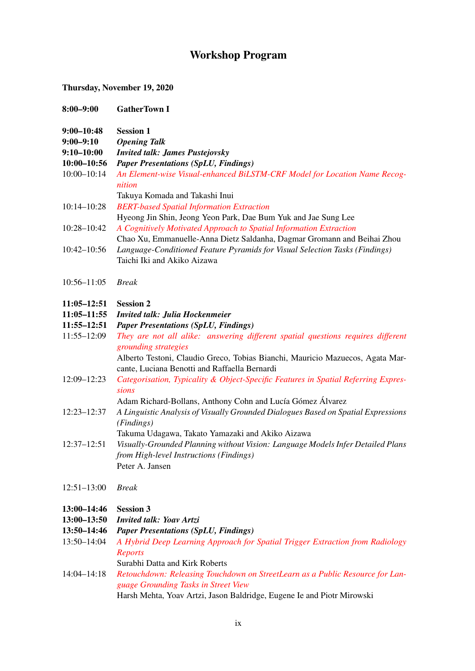## Workshop Program

### Thursday, November 19, 2020

| $8:00 - 9:00$                                                | <b>GatherTown I</b>                                                                                                                                                                                                                        |
|--------------------------------------------------------------|--------------------------------------------------------------------------------------------------------------------------------------------------------------------------------------------------------------------------------------------|
| $9:00 - 10:48$<br>9:00–9:10<br>9:10-10:00<br>10:00-10:56     | <b>Session 1</b><br><b>Opening Talk</b><br><b>Invited talk: James Pustejovsky</b><br><b>Paper Presentations (SpLU, Findings)</b>                                                                                                           |
| $10:00 - 10:14$                                              | An Element-wise Visual-enhanced BiLSTM-CRF Model for Location Name Recog-<br>nition<br>Takuya Komada and Takashi Inui                                                                                                                      |
| $10:14 - 10:28$                                              | <b>BERT-based Spatial Information Extraction</b><br>Hyeong Jin Shin, Jeong Yeon Park, Dae Bum Yuk and Jae Sung Lee                                                                                                                         |
| 10:28-10:42                                                  | A Cognitively Motivated Approach to Spatial Information Extraction<br>Chao Xu, Emmanuelle-Anna Dietz Saldanha, Dagmar Gromann and Beihai Zhou                                                                                              |
| 10:42-10:56                                                  | Language-Conditioned Feature Pyramids for Visual Selection Tasks (Findings)<br>Taichi Iki and Akiko Aizawa                                                                                                                                 |
| $10:56 - 11:05$                                              | <b>Break</b>                                                                                                                                                                                                                               |
| $11:05 - 12:51$<br>11:05-11:55<br>11:55-12:51                | <b>Session 2</b><br><b>Invited talk: Julia Hockenmeier</b><br><b>Paper Presentations (SpLU, Findings)</b>                                                                                                                                  |
| 11:55-12:09                                                  | They are not all alike: answering different spatial questions requires different<br>grounding strategies<br>Alberto Testoni, Claudio Greco, Tobias Bianchi, Mauricio Mazuecos, Agata Mar-<br>cante, Luciana Benotti and Raffaella Bernardi |
| 12:09-12:23                                                  | Categorisation, Typicality & Object-Specific Features in Spatial Referring Expres-<br>sions<br>Adam Richard-Bollans, Anthony Cohn and Lucía Gómez Álvarez                                                                                  |
| 12:23-12:37                                                  | A Linguistic Analysis of Visually Grounded Dialogues Based on Spatial Expressions<br>(Findings)<br>Takuma Udagawa, Takato Yamazaki and Akiko Aizawa                                                                                        |
| $12:37 - 12:51$                                              | Visually-Grounded Planning without Vision: Language Models Infer Detailed Plans<br>from High-level Instructions (Findings)<br>Peter A. Jansen                                                                                              |
| $12:51 - 13:00$                                              | <b>Break</b>                                                                                                                                                                                                                               |
| 13:00-14:46<br>$13:00 - 13:50$<br>13:50-14:46<br>13:50-14:04 | <b>Session 3</b><br><b>Invited talk: Yoav Artzi</b><br><b>Paper Presentations (SpLU, Findings)</b><br>A Hybrid Deep Learning Approach for Spatial Trigger Extraction from Radiology<br><b>Reports</b><br>Surabhi Datta and Kirk Roberts    |
| $14:04 - 14:18$                                              | Retouchdown: Releasing Touchdown on StreetLearn as a Public Resource for Lan-<br>guage Grounding Tasks in Street View<br>Harsh Mehta, Yoav Artzi, Jason Baldridge, Eugene Ie and Piotr Mirowski                                            |